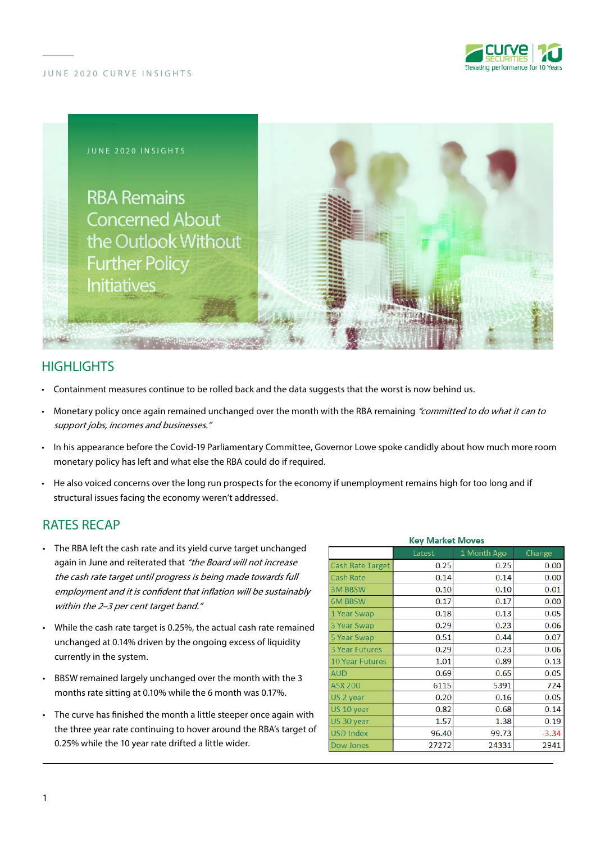



# **HIGHLIGHTS**

- Containment measures continue to be rolled back and the data suggests that the worst is now behind us.
- Monetary policy once again remained unchanged over the month with the RBA remaining "committed to do what it can to support jobs, incomes and businesses."
- In his appearance before the Covid-19 Parliamentary Committee, Governor Lowe spoke candidly about how much more room monetary policy has left and what else the RBA could do if required.
- He also voiced concerns over the long run prospects for the economy if unemployment remains high for too long and if structural issues facing the economy weren't addressed.

### RATES RECAP

- The RBA left the cash rate and its yield curve target unchanged again in June and reiterated that "the Board will not increase the cash rate target until progress is being made towards full employment and it is confident that inflation will be sustainably within the 2-3 per cent target band."
- While the cash rate target is 0.25%, the actual cash rate remained unchanged at 0.14% driven by the ongoing excess of liquidity currently in the system.
- BBSW remained largely unchanged over the month with the 3 months rate sitting at 0.10% while the 6 month was 0.17%.
- The curve has finished the month a little steeper once again with the three year rate continuing to hover around the RBA's target of 0.25% while the 10 year rate drifted a little wider.

| <b>Key Market Moves</b> |        |             |         |
|-------------------------|--------|-------------|---------|
|                         | Latest | 1 Month Ago | Change  |
| <b>Cash Rate Target</b> | 0.25   | 0.25        | 0.00    |
| Cash Rate               | 0.14   | 0.14        | 0.00    |
| <b>3M BBSW</b>          | 0.10   | 0.10        | 0.01    |
| <b>6M BBSW</b>          | 0.17   | 0.17        | 0.00    |
| 1 Year Swap             | 0.18   | 0.13        | 0.05    |
| 3 Year Swap             | 0.29   | 0.23        | 0.06    |
| 5 Year Swap             | 0.51   | 0.44        | 0.07    |
| <b>3 Year Futures</b>   | 0.29   | 0.23        | 0.06    |
| <b>10 Year Futures</b>  | 1.01   | 0.89        | 0.13    |
| <b>AUD</b>              | 0.69   | 0.65        | 0.05    |
| <b>ASX 200</b>          | 6115   | 5391        | 724     |
| US 2 year               | 0.20   | 0.16        | 0.05    |
| US 10 year              | 0.82   | 0.68        | 0.14    |
| US 30 year              | 1.57   | 1.38        | 0.19    |
| <b>USD Index</b>        | 96.40  | 99.73       | $-3.34$ |
| Dow Jones               | 27272  | 24331       | 2941    |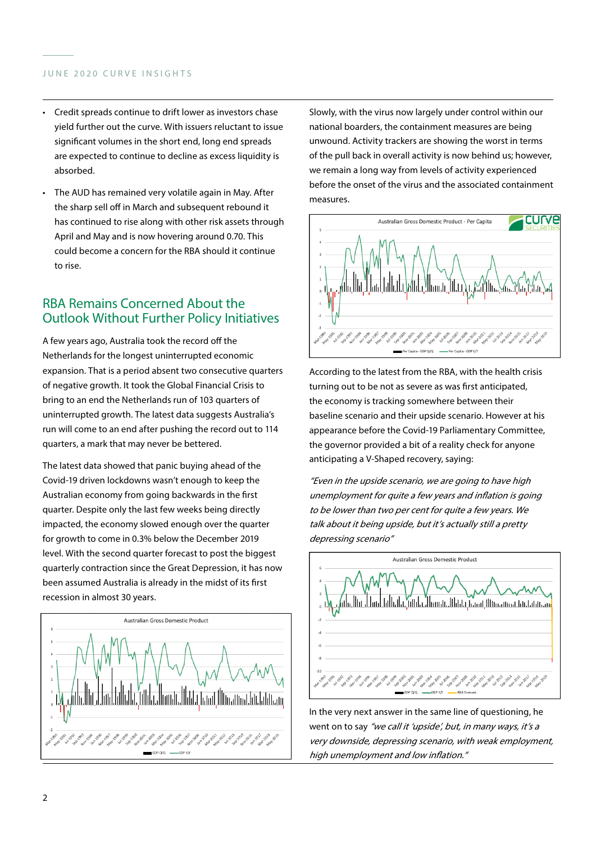### JUNE 2020 CURVE INSIGHTS

- Credit spreads continue to drift lower as investors chase yield further out the curve. With issuers reluctant to issue significant volumes in the short end, long end spreads are expected to continue to decline as excess liquidity is absorbed.
- The AUD has remained very volatile again in May. After the sharp sell off in March and subsequent rebound it has continued to rise along with other risk assets through April and May and is now hovering around 0.70. This could become a concern for the RBA should it continue to rise.

# RBA Remains Concerned About the Outlook Without Further Policy Initiatives

A few years ago, Australia took the record off the Netherlands for the longest uninterrupted economic expansion. That is a period absent two consecutive quarters of negative growth. It took the Global Financial Crisis to bring to an end the Netherlands run of 103 quarters of uninterrupted growth. The latest data suggests Australia's run will come to an end after pushing the record out to 114 quarters, a mark that may never be bettered.

The latest data showed that panic buying ahead of the Covid-19 driven lockdowns wasn't enough to keep the Australian economy from going backwards in the first quarter. Despite only the last few weeks being directly impacted, the economy slowed enough over the quarter for growth to come in 0.3% below the December 2019 level. With the second quarter forecast to post the biggest quarterly contraction since the Great Depression, it has now been assumed Australia is already in the midst of its first recession in almost 30 years.



Slowly, with the virus now largely under control within our national boarders, the containment measures are being unwound. Activity trackers are showing the worst in terms of the pull back in overall activity is now behind us; however, we remain a long way from levels of activity experienced before the onset of the virus and the associated containment measures.



According to the latest from the RBA, with the health crisis turning out to be not as severe as was first anticipated, the economy is tracking somewhere between their baseline scenario and their upside scenario. However at his appearance before the Covid-19 Parliamentary Committee, the governor provided a bit of a reality check for anyone anticipating a V-Shaped recovery, saying:

"Even in the upside scenario, we are going to have high unemployment for quite a few years and inflation is going to be lower than two per cent for quite a few years. We talk about it being upside, but it's actually still a pretty depressing scenario"



In the very next answer in the same line of questioning, he went on to say "we call it 'upside', but, in many ways, it's a very downside, depressing scenario, with weak employment, high unemployment and low inflation."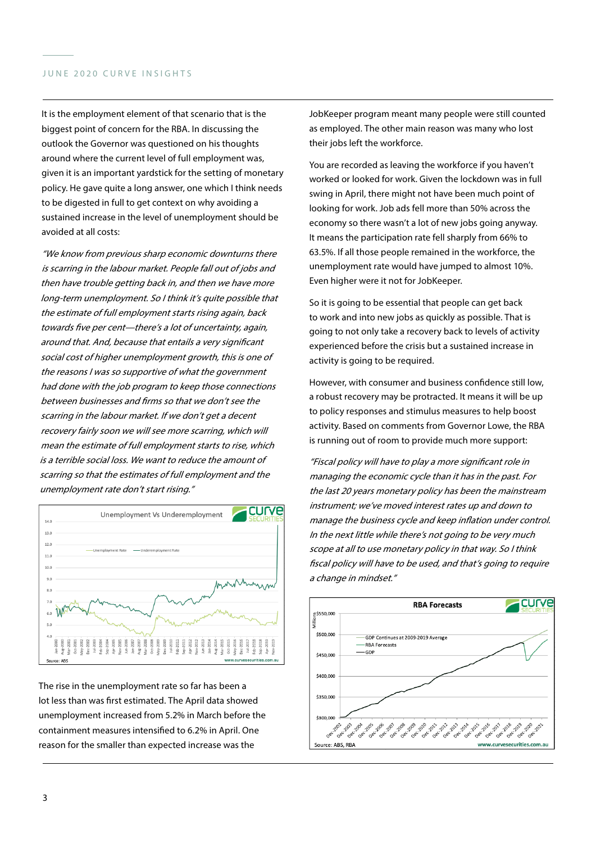#### JUNE 2020 CURVE INSIGHTS

It is the employment element of that scenario that is the biggest point of concern for the RBA. In discussing the outlook the Governor was questioned on his thoughts around where the current level of full employment was, given it is an important yardstick for the setting of monetary policy. He gave quite a long answer, one which I think needs to be digested in full to get context on why avoiding a sustained increase in the level of unemployment should be avoided at all costs:

"We know from previous sharp economic downturns there is scarring in the labour market. People fall out of jobs and then have trouble getting back in, and then we have more long-term unemployment. So I think it's quite possible that the estimate of full employment starts rising again, back towards five per cent—there's a lot of uncertainty, again, around that. And, because that entails a very significant social cost of higher unemployment growth, this is one of the reasons I was so supportive of what the government had done with the job program to keep those connections between businesses and firms so that we don't see the scarring in the labour market. If we don't get a decent recovery fairly soon we will see more scarring, which will mean the estimate of full employment starts to rise, which is a terrible social loss. We want to reduce the amount of scarring so that the estimates of full employment and the unemployment rate don't start rising."



The rise in the unemployment rate so far has been a lot less than was first estimated. The April data showed unemployment increased from 5.2% in March before the containment measures intensified to 6.2% in April. One reason for the smaller than expected increase was the

JobKeeper program meant many people were still counted as employed. The other main reason was many who lost their jobs left the workforce.

You are recorded as leaving the workforce if you haven't worked or looked for work. Given the lockdown was in full swing in April, there might not have been much point of looking for work. Job ads fell more than 50% across the economy so there wasn't a lot of new jobs going anyway. It means the participation rate fell sharply from 66% to 63.5%. If all those people remained in the workforce, the unemployment rate would have jumped to almost 10%. Even higher were it not for JobKeeper.

So it is going to be essential that people can get back to work and into new jobs as quickly as possible. That is going to not only take a recovery back to levels of activity experienced before the crisis but a sustained increase in activity is going to be required.

However, with consumer and business confidence still low, a robust recovery may be protracted. It means it will be up to policy responses and stimulus measures to help boost activity. Based on comments from Governor Lowe, the RBA is running out of room to provide much more support:

"Fiscal policy will have to play a more significant role in managing the economic cycle than it has in the past. For the last 20 years monetary policy has been the mainstream instrument; we've moved interest rates up and down to manage the business cycle and keep inflation under control. In the next little while there's not going to be very much scope at all to use monetary policy in that way. So I think fiscal policy will have to be used, and that's going to require a change in mindset."

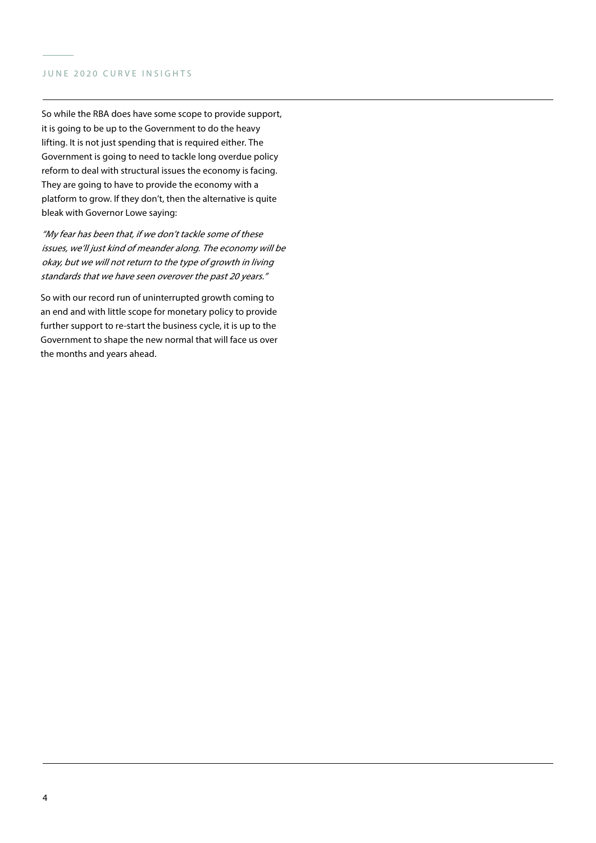#### JUNE 2020 CURVE INSIGHTS

So while the RBA does have some scope to provide support, it is going to be up to the Government to do the heavy lifting. It is not just spending that is required either. The Government is going to need to tackle long overdue policy reform to deal with structural issues the economy is facing. They are going to have to provide the economy with a platform to grow. If they don't, then the alternative is quite bleak with Governor Lowe saying:

"My fear has been that, if we don't tackle some of these issues, we'll just kind of meander along. The economy will be okay, but we will not return to the type of growth in living standards that we have seen overover the past 20 years."

So with our record run of uninterrupted growth coming to an end and with little scope for monetary policy to provide further support to re-start the business cycle, it is up to the Government to shape the new normal that will face us over the months and years ahead.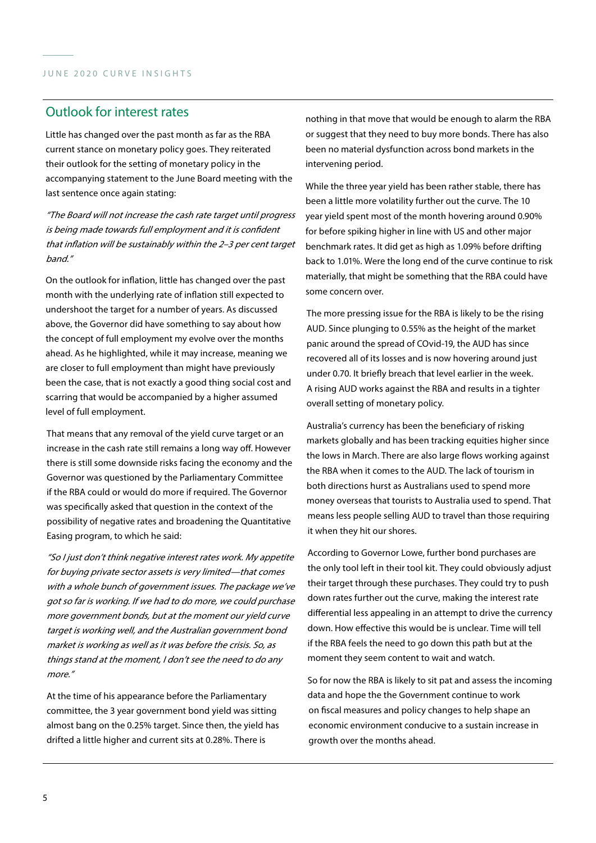### Outlook for interest rates

Little has changed over the past month as far as the RBA current stance on monetary policy goes. They reiterated their outlook for the setting of monetary policy in the accompanying statement to the June Board meeting with the last sentence once again stating:

"The Board will not increase the cash rate target until progress is being made towards full employment and it is confident that inflation will be sustainably within the 2–3 per cent target band."

On the outlook for inflation, little has changed over the past month with the underlying rate of inflation still expected to undershoot the target for a number of years. As discussed above, the Governor did have something to say about how the concept of full employment my evolve over the months ahead. As he highlighted, while it may increase, meaning we are closer to full employment than might have previously been the case, that is not exactly a good thing social cost and scarring that would be accompanied by a higher assumed level of full employment.

That means that any removal of the yield curve target or an increase in the cash rate still remains a long way off. However there is still some downside risks facing the economy and the Governor was questioned by the Parliamentary Committee if the RBA could or would do more if required. The Governor was specifically asked that question in the context of the possibility of negative rates and broadening the Quantitative Easing program, to which he said:

"So I just don't think negative interest rates work. My appetite for buying private sector assets is very limited—that comes with a whole bunch of government issues. The package we've got so far is working. If we had to do more, we could purchase more government bonds, but at the moment our yield curve target is working well, and the Australian government bond market is working as well as it was before the crisis. So, as things stand at the moment, I don't see the need to do any more."

At the time of his appearance before the Parliamentary committee, the 3 year government bond yield was sitting almost bang on the 0.25% target. Since then, the yield has drifted a little higher and current sits at 0.28%. There is

nothing in that move that would be enough to alarm the RBA or suggest that they need to buy more bonds. There has also been no material dysfunction across bond markets in the intervening period.

While the three year yield has been rather stable, there has been a little more volatility further out the curve. The 10 year yield spent most of the month hovering around 0.90% for before spiking higher in line with US and other major benchmark rates. It did get as high as 1.09% before drifting back to 1.01%. Were the long end of the curve continue to risk materially, that might be something that the RBA could have some concern over.

The more pressing issue for the RBA is likely to be the rising AUD. Since plunging to 0.55% as the height of the market panic around the spread of COvid-19, the AUD has since recovered all of its losses and is now hovering around just under 0.70. It briefly breach that level earlier in the week. A rising AUD works against the RBA and results in a tighter overall setting of monetary policy.

Australia's currency has been the beneficiary of risking markets globally and has been tracking equities higher since the lows in March. There are also large flows working against the RBA when it comes to the AUD. The lack of tourism in both directions hurst as Australians used to spend more money overseas that tourists to Australia used to spend. That means less people selling AUD to travel than those requiring it when they hit our shores.

According to Governor Lowe, further bond purchases are the only tool left in their tool kit. They could obviously adjust their target through these purchases. They could try to push down rates further out the curve, making the interest rate differential less appealing in an attempt to drive the currency down. How effective this would be is unclear. Time will tell if the RBA feels the need to go down this path but at the moment they seem content to wait and watch.

So for now the RBA is likely to sit pat and assess the incoming data and hope the the Government continue to work on fiscal measures and policy changes to help shape an economic environment conducive to a sustain increase in growth over the months ahead.